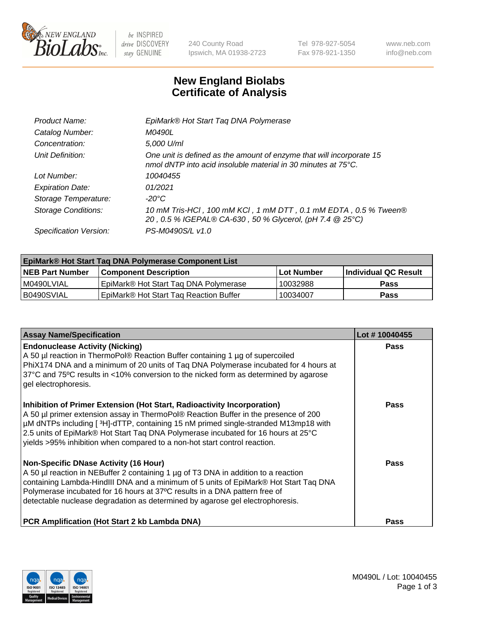

 $be$  INSPIRED drive DISCOVERY stay GENUINE

240 County Road Ipswich, MA 01938-2723 Tel 978-927-5054 Fax 978-921-1350 www.neb.com info@neb.com

## **New England Biolabs Certificate of Analysis**

| One unit is defined as the amount of enzyme that will incorporate 15 |
|----------------------------------------------------------------------|
|                                                                      |
|                                                                      |
|                                                                      |
| 10 mM Tris-HCl, 100 mM KCl, 1 mM DTT, 0.1 mM EDTA, 0.5 % Tween®      |
|                                                                      |
|                                                                      |

| <b>EpiMark® Hot Start Taq DNA Polymerase Component List</b> |                                        |              |                      |  |
|-------------------------------------------------------------|----------------------------------------|--------------|----------------------|--|
| <b>NEB Part Number</b>                                      | <b>Component Description</b>           | l Lot Number | Individual QC Result |  |
| I M0490LVIAL                                                | EpiMark® Hot Start Tag DNA Polymerase  | 10032988     | <b>Pass</b>          |  |
| B0490SVIAL                                                  | EpiMark® Hot Start Tag Reaction Buffer | 10034007     | Pass                 |  |

| <b>Assay Name/Specification</b>                                                                                                                                                                                                                                                                                                                                                                                        | Lot #10040455 |
|------------------------------------------------------------------------------------------------------------------------------------------------------------------------------------------------------------------------------------------------------------------------------------------------------------------------------------------------------------------------------------------------------------------------|---------------|
| <b>Endonuclease Activity (Nicking)</b><br>A 50 µl reaction in ThermoPol® Reaction Buffer containing 1 µg of supercoiled<br>PhiX174 DNA and a minimum of 20 units of Tag DNA Polymerase incubated for 4 hours at<br>37°C and 75°C results in <10% conversion to the nicked form as determined by agarose<br>gel electrophoresis.                                                                                        | <b>Pass</b>   |
| Inhibition of Primer Extension (Hot Start, Radioactivity Incorporation)<br>A 50 µl primer extension assay in ThermoPol® Reaction Buffer in the presence of 200<br>µM dNTPs including [3H]-dTTP, containing 15 nM primed single-stranded M13mp18 with<br>2.5 units of EpiMark® Hot Start Taq DNA Polymerase incubated for 16 hours at 25°C<br>yields >95% inhibition when compared to a non-hot start control reaction. | <b>Pass</b>   |
| <b>Non-Specific DNase Activity (16 Hour)</b><br>A 50 µl reaction in NEBuffer 2 containing 1 µg of T3 DNA in addition to a reaction<br>containing Lambda-HindIII DNA and a minimum of 5 units of EpiMark® Hot Start Taq DNA<br>Polymerase incubated for 16 hours at 37°C results in a DNA pattern free of<br>detectable nuclease degradation as determined by agarose gel electrophoresis.                              | Pass          |
| <b>PCR Amplification (Hot Start 2 kb Lambda DNA)</b>                                                                                                                                                                                                                                                                                                                                                                   | Pass          |

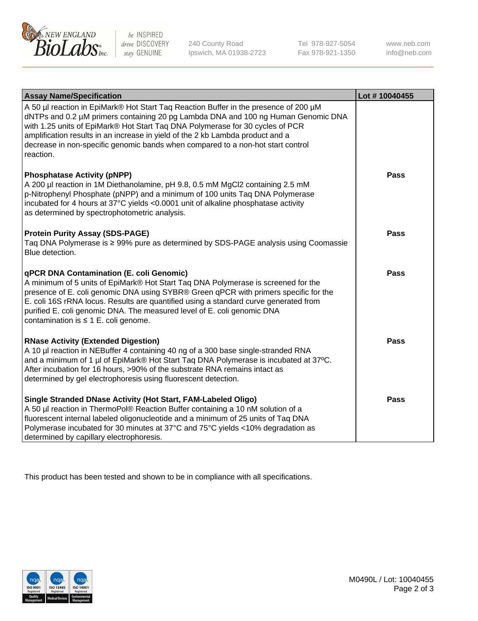

 $be$  INSPIRED drive DISCOVERY stay GENUINE

240 County Road Ipswich, MA 01938-2723 Tel 978-927-5054 Fax 978-921-1350 www.neb.com info@neb.com

| <b>Assay Name/Specification</b>                                                                                                                                                                                                                                                                                                                                                                                                              | Lot #10040455 |
|----------------------------------------------------------------------------------------------------------------------------------------------------------------------------------------------------------------------------------------------------------------------------------------------------------------------------------------------------------------------------------------------------------------------------------------------|---------------|
| A 50 µl reaction in EpiMark® Hot Start Taq Reaction Buffer in the presence of 200 µM<br>dNTPs and 0.2 µM primers containing 20 pg Lambda DNA and 100 ng Human Genomic DNA<br>with 1.25 units of EpiMark® Hot Start Taq DNA Polymerase for 30 cycles of PCR<br>amplification results in an increase in yield of the 2 kb Lambda product and a<br>decrease in non-specific genomic bands when compared to a non-hot start control<br>reaction. |               |
| <b>Phosphatase Activity (pNPP)</b><br>A 200 µl reaction in 1M Diethanolamine, pH 9.8, 0.5 mM MgCl2 containing 2.5 mM<br>p-Nitrophenyl Phosphate (pNPP) and a minimum of 100 units Taq DNA Polymerase<br>incubated for 4 hours at 37°C yields <0.0001 unit of alkaline phosphatase activity<br>as determined by spectrophotometric analysis.                                                                                                  | <b>Pass</b>   |
| <b>Protein Purity Assay (SDS-PAGE)</b><br>Taq DNA Polymerase is ≥ 99% pure as determined by SDS-PAGE analysis using Coomassie<br>Blue detection.                                                                                                                                                                                                                                                                                             | <b>Pass</b>   |
| qPCR DNA Contamination (E. coli Genomic)<br>A minimum of 5 units of EpiMark® Hot Start Taq DNA Polymerase is screened for the<br>presence of E. coli genomic DNA using SYBR® Green qPCR with primers specific for the<br>E. coli 16S rRNA locus. Results are quantified using a standard curve generated from<br>purified E. coli genomic DNA. The measured level of E. coli genomic DNA<br>contamination is $\leq 1$ E. coli genome.        | <b>Pass</b>   |
| <b>RNase Activity (Extended Digestion)</b><br>A 10 µl reaction in NEBuffer 4 containing 40 ng of a 300 base single-stranded RNA<br>and a minimum of 1 µl of EpiMark® Hot Start Taq DNA Polymerase is incubated at 37°C.<br>After incubation for 16 hours, >90% of the substrate RNA remains intact as<br>determined by gel electrophoresis using fluorescent detection.                                                                      | <b>Pass</b>   |
| Single Stranded DNase Activity (Hot Start, FAM-Labeled Oligo)<br>A 50 µl reaction in ThermoPol® Reaction Buffer containing a 10 nM solution of a<br>fluorescent internal labeled oligonucleotide and a minimum of 25 units of Taq DNA<br>Polymerase incubated for 30 minutes at 37°C and 75°C yields <10% degradation as<br>determined by capillary electrophoresis.                                                                         | <b>Pass</b>   |

This product has been tested and shown to be in compliance with all specifications.